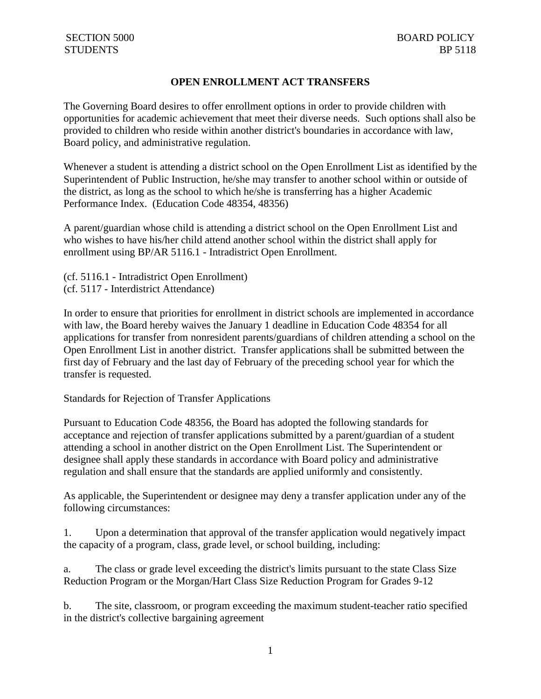# **OPEN ENROLLMENT ACT TRANSFERS**

The Governing Board desires to offer enrollment options in order to provide children with opportunities for academic achievement that meet their diverse needs. Such options shall also be provided to children who reside within another district's boundaries in accordance with law, Board policy, and administrative regulation.

Whenever a student is attending a district school on the Open Enrollment List as identified by the Superintendent of Public Instruction, he/she may transfer to another school within or outside of the district, as long as the school to which he/she is transferring has a higher Academic Performance Index. (Education Code 48354, 48356)

A parent/guardian whose child is attending a district school on the Open Enrollment List and who wishes to have his/her child attend another school within the district shall apply for enrollment using BP/AR 5116.1 - Intradistrict Open Enrollment.

(cf. 5116.1 - Intradistrict Open Enrollment) (cf. 5117 - Interdistrict Attendance)

In order to ensure that priorities for enrollment in district schools are implemented in accordance with law, the Board hereby waives the January 1 deadline in Education Code 48354 for all applications for transfer from nonresident parents/guardians of children attending a school on the Open Enrollment List in another district. Transfer applications shall be submitted between the first day of February and the last day of February of the preceding school year for which the transfer is requested.

Standards for Rejection of Transfer Applications

Pursuant to Education Code 48356, the Board has adopted the following standards for acceptance and rejection of transfer applications submitted by a parent/guardian of a student attending a school in another district on the Open Enrollment List. The Superintendent or designee shall apply these standards in accordance with Board policy and administrative regulation and shall ensure that the standards are applied uniformly and consistently.

As applicable, the Superintendent or designee may deny a transfer application under any of the following circumstances:

1. Upon a determination that approval of the transfer application would negatively impact the capacity of a program, class, grade level, or school building, including:

a. The class or grade level exceeding the district's limits pursuant to the state Class Size Reduction Program or the Morgan/Hart Class Size Reduction Program for Grades 9-12

b. The site, classroom, or program exceeding the maximum student-teacher ratio specified in the district's collective bargaining agreement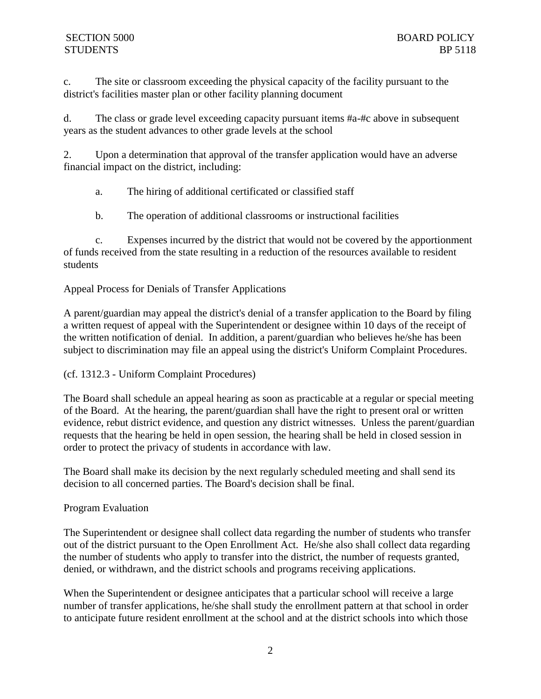c. The site or classroom exceeding the physical capacity of the facility pursuant to the district's facilities master plan or other facility planning document

d. The class or grade level exceeding capacity pursuant items #a-#c above in subsequent years as the student advances to other grade levels at the school

2. Upon a determination that approval of the transfer application would have an adverse financial impact on the district, including:

a. The hiring of additional certificated or classified staff

b. The operation of additional classrooms or instructional facilities

c. Expenses incurred by the district that would not be covered by the apportionment of funds received from the state resulting in a reduction of the resources available to resident students

Appeal Process for Denials of Transfer Applications

A parent/guardian may appeal the district's denial of a transfer application to the Board by filing a written request of appeal with the Superintendent or designee within 10 days of the receipt of the written notification of denial. In addition, a parent/guardian who believes he/she has been subject to discrimination may file an appeal using the district's Uniform Complaint Procedures.

(cf. 1312.3 - Uniform Complaint Procedures)

The Board shall schedule an appeal hearing as soon as practicable at a regular or special meeting of the Board. At the hearing, the parent/guardian shall have the right to present oral or written evidence, rebut district evidence, and question any district witnesses. Unless the parent/guardian requests that the hearing be held in open session, the hearing shall be held in closed session in order to protect the privacy of students in accordance with law.

The Board shall make its decision by the next regularly scheduled meeting and shall send its decision to all concerned parties. The Board's decision shall be final.

# Program Evaluation

The Superintendent or designee shall collect data regarding the number of students who transfer out of the district pursuant to the Open Enrollment Act. He/she also shall collect data regarding the number of students who apply to transfer into the district, the number of requests granted, denied, or withdrawn, and the district schools and programs receiving applications.

When the Superintendent or designee anticipates that a particular school will receive a large number of transfer applications, he/she shall study the enrollment pattern at that school in order to anticipate future resident enrollment at the school and at the district schools into which those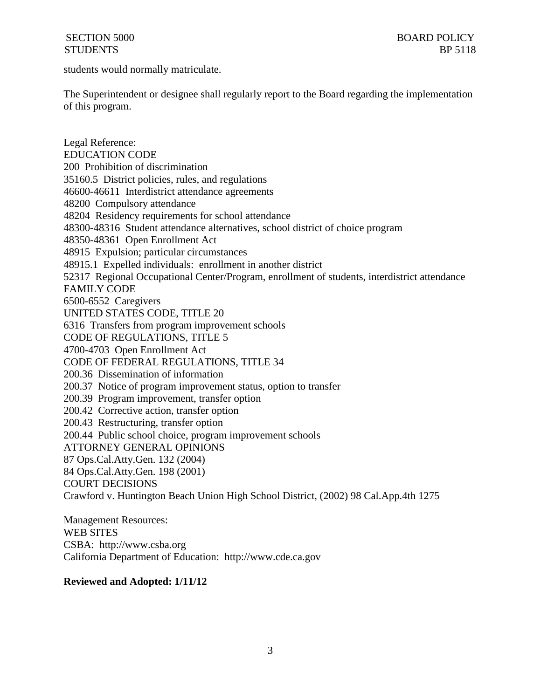students would normally matriculate.

The Superintendent or designee shall regularly report to the Board regarding the implementation of this program.

Legal Reference: EDUCATION CODE 200 Prohibition of discrimination 35160.5 District policies, rules, and regulations 46600-46611 Interdistrict attendance agreements 48200 Compulsory attendance 48204 Residency requirements for school attendance 48300-48316 Student attendance alternatives, school district of choice program 48350-48361 Open Enrollment Act 48915 Expulsion; particular circumstances 48915.1 Expelled individuals: enrollment in another district 52317 Regional Occupational Center/Program, enrollment of students, interdistrict attendance FAMILY CODE 6500-6552 Caregivers UNITED STATES CODE, TITLE 20 6316 Transfers from program improvement schools CODE OF REGULATIONS, TITLE 5 4700-4703 Open Enrollment Act CODE OF FEDERAL REGULATIONS, TITLE 34 200.36 Dissemination of information 200.37 Notice of program improvement status, option to transfer 200.39 Program improvement, transfer option 200.42 Corrective action, transfer option 200.43 Restructuring, transfer option 200.44 Public school choice, program improvement schools ATTORNEY GENERAL OPINIONS 87 Ops.Cal.Atty.Gen. 132 (2004) 84 Ops.Cal.Atty.Gen. 198 (2001) COURT DECISIONS Crawford v. Huntington Beach Union High School District, (2002) 98 Cal.App.4th 1275

Management Resources: WEB SITES CSBA: http://www.csba.org California Department of Education: http://www.cde.ca.gov

### **Reviewed and Adopted: 1/11/12**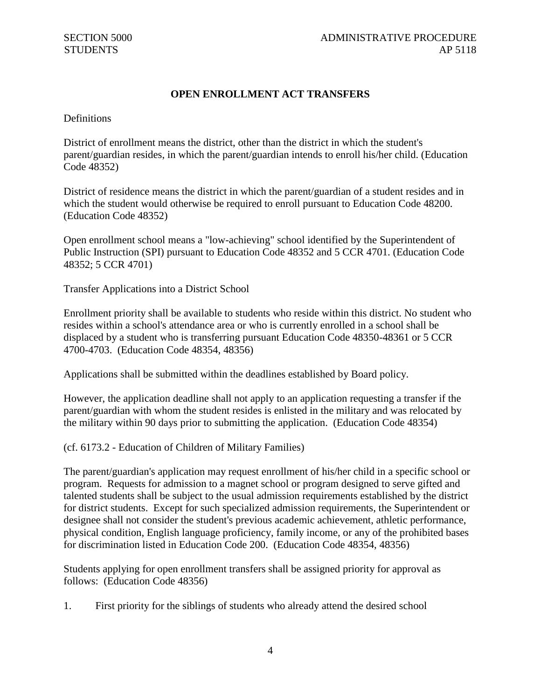# **OPEN ENROLLMENT ACT TRANSFERS**

Definitions

District of enrollment means the district, other than the district in which the student's parent/guardian resides, in which the parent/guardian intends to enroll his/her child. (Education Code 48352)

District of residence means the district in which the parent/guardian of a student resides and in which the student would otherwise be required to enroll pursuant to Education Code 48200. (Education Code 48352)

Open enrollment school means a "low-achieving" school identified by the Superintendent of Public Instruction (SPI) pursuant to Education Code 48352 and 5 CCR 4701. (Education Code 48352; 5 CCR 4701)

Transfer Applications into a District School

Enrollment priority shall be available to students who reside within this district. No student who resides within a school's attendance area or who is currently enrolled in a school shall be displaced by a student who is transferring pursuant Education Code 48350-48361 or 5 CCR 4700-4703. (Education Code 48354, 48356)

Applications shall be submitted within the deadlines established by Board policy.

However, the application deadline shall not apply to an application requesting a transfer if the parent/guardian with whom the student resides is enlisted in the military and was relocated by the military within 90 days prior to submitting the application. (Education Code 48354)

(cf. 6173.2 - Education of Children of Military Families)

The parent/guardian's application may request enrollment of his/her child in a specific school or program. Requests for admission to a magnet school or program designed to serve gifted and talented students shall be subject to the usual admission requirements established by the district for district students. Except for such specialized admission requirements, the Superintendent or designee shall not consider the student's previous academic achievement, athletic performance, physical condition, English language proficiency, family income, or any of the prohibited bases for discrimination listed in Education Code 200. (Education Code 48354, 48356)

Students applying for open enrollment transfers shall be assigned priority for approval as follows: (Education Code 48356)

1. First priority for the siblings of students who already attend the desired school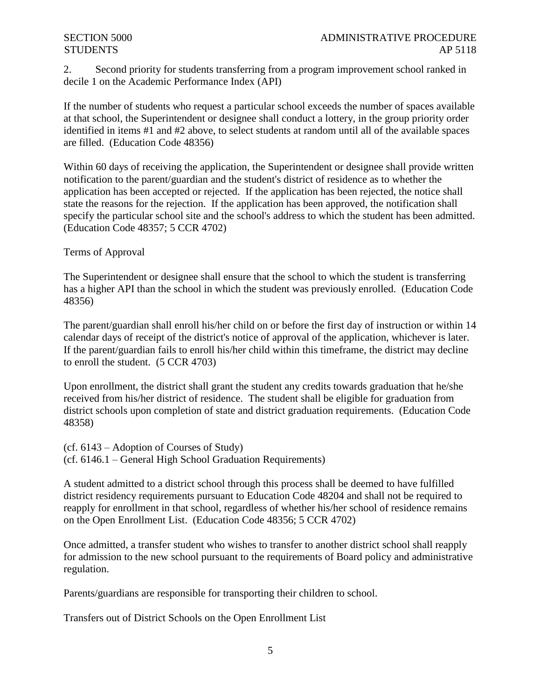2. Second priority for students transferring from a program improvement school ranked in decile 1 on the Academic Performance Index (API)

If the number of students who request a particular school exceeds the number of spaces available at that school, the Superintendent or designee shall conduct a lottery, in the group priority order identified in items #1 and #2 above, to select students at random until all of the available spaces are filled. (Education Code 48356)

Within 60 days of receiving the application, the Superintendent or designee shall provide written notification to the parent/guardian and the student's district of residence as to whether the application has been accepted or rejected. If the application has been rejected, the notice shall state the reasons for the rejection. If the application has been approved, the notification shall specify the particular school site and the school's address to which the student has been admitted. (Education Code 48357; 5 CCR 4702)

Terms of Approval

The Superintendent or designee shall ensure that the school to which the student is transferring has a higher API than the school in which the student was previously enrolled. (Education Code 48356)

The parent/guardian shall enroll his/her child on or before the first day of instruction or within 14 calendar days of receipt of the district's notice of approval of the application, whichever is later. If the parent/guardian fails to enroll his/her child within this timeframe, the district may decline to enroll the student. (5 CCR 4703)

Upon enrollment, the district shall grant the student any credits towards graduation that he/she received from his/her district of residence. The student shall be eligible for graduation from district schools upon completion of state and district graduation requirements. (Education Code 48358)

(cf. 6143 – Adoption of Courses of Study) (cf. 6146.1 – General High School Graduation Requirements)

A student admitted to a district school through this process shall be deemed to have fulfilled district residency requirements pursuant to Education Code 48204 and shall not be required to reapply for enrollment in that school, regardless of whether his/her school of residence remains on the Open Enrollment List. (Education Code 48356; 5 CCR 4702)

Once admitted, a transfer student who wishes to transfer to another district school shall reapply for admission to the new school pursuant to the requirements of Board policy and administrative regulation.

Parents/guardians are responsible for transporting their children to school.

Transfers out of District Schools on the Open Enrollment List